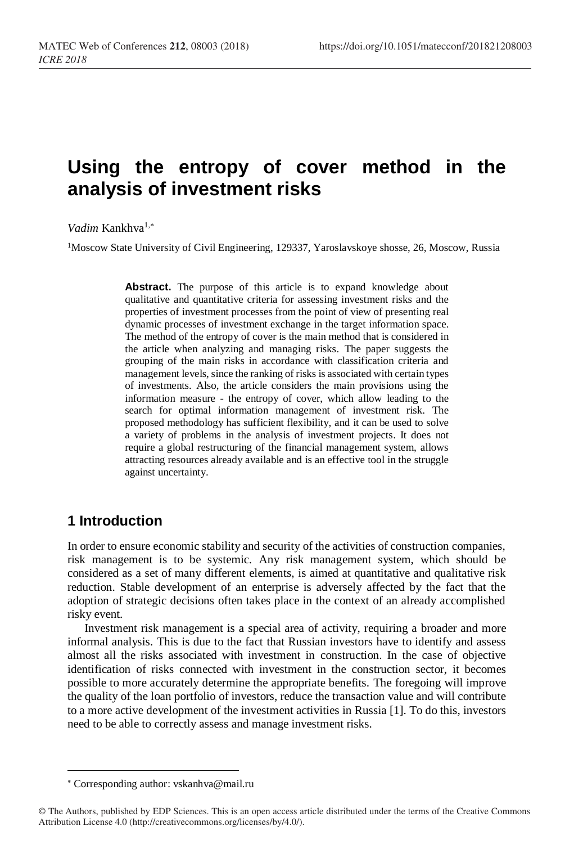# **Using the entropy of cover method in the analysis of investment risks**

*Vadim* Kankhva1,

<sup>1</sup>Moscow State University of Civil Engineering, 129337, Yaroslavskoye shosse, 26, Moscow, Russia

Abstract. The purpose of this article is to expand knowledge about qualitative and quantitative criteria for assessing investment risks and the properties of investment processes from the point of view of presenting real dynamic processes of investment exchange in the target information space. The method of the entropy of cover is the main method that is considered in the article when analyzing and managing risks. The paper suggests the grouping of the main risks in accordance with classification criteria and management levels, since the ranking of risks is associated with certain types of investments. Also, the article considers the main provisions using the information measure - the entropy of cover, which allow leading to the search for optimal information management of investment risk. The proposed methodology has sufficient flexibility, and it can be used to solve a variety of problems in the analysis of investment projects. It does not require a global restructuring of the financial management system, allows attracting resources already available and is an effective tool in the struggle against uncertainty.

# **1 Introduction**

In order to ensure economic stability and security of the activities of construction companies, risk management is to be systemic. Any risk management system, which should be considered as a set of many different elements, is aimed at quantitative and qualitative risk reduction. Stable development of an enterprise is adversely affected by the fact that the adoption of strategic decisions often takes place in the context of an already accomplished risky event.

Investment risk management is a special area of activity, requiring a broader and more informal analysis. This is due to the fact that Russian investors have to identify and assess almost all the risks associated with investment in construction. In the case of objective identification of risks connected with investment in the construction sector, it becomes possible to more accurately determine the appropriate benefits. The foregoing will improve the quality of the loan portfolio of investors, reduce the transaction value and will contribute to a more active development of the investment activities in Russia [1]. To do this, investors need to be able to correctly assess and manage investment risks.

l

Corresponding author[: vskanhva@mail.ru](mailto:vskanhva@mail.ru)

<sup>©</sup> The Authors, published by EDP Sciences. This is an open access article distributed under the terms of the Creative Commons Attribution License 4.0 (http://creativecommons.org/licenses/by/4.0/).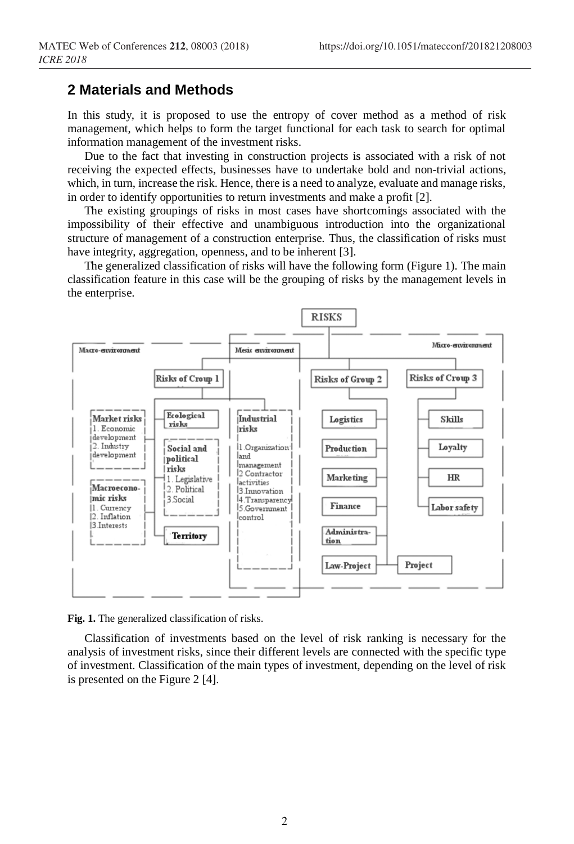## **2 Materials and Methods**

In this study, it is proposed to use the entropy of cover method as a method of risk management, which helps to form the target functional for each task to search for optimal information management of the investment risks.

Due to the fact that investing in construction projects is associated with a risk of not receiving the expected effects, businesses have to undertake bold and non-trivial actions, which, in turn, increase the risk. Hence, there is a need to analyze, evaluate and manage risks, in order to identify opportunities to return investments and make a profit [2].

The existing groupings of risks in most cases have shortcomings associated with the impossibility of their effective and unambiguous introduction into the organizational structure of management of a construction enterprise. Thus, the classification of risks must have integrity, aggregation, openness, and to be inherent [3].

The generalized classification of risks will have the following form (Figure 1). The main classification feature in this case will be the grouping of risks by the management levels in the enterprise.



**Fig. 1.** The generalized classification of risks.

Classification of investments based on the level of risk ranking is necessary for the analysis of investment risks, since their different levels are connected with the specific type of investment. Classification of the main types of investment, depending on the level of risk is presented on the Figure 2 [4].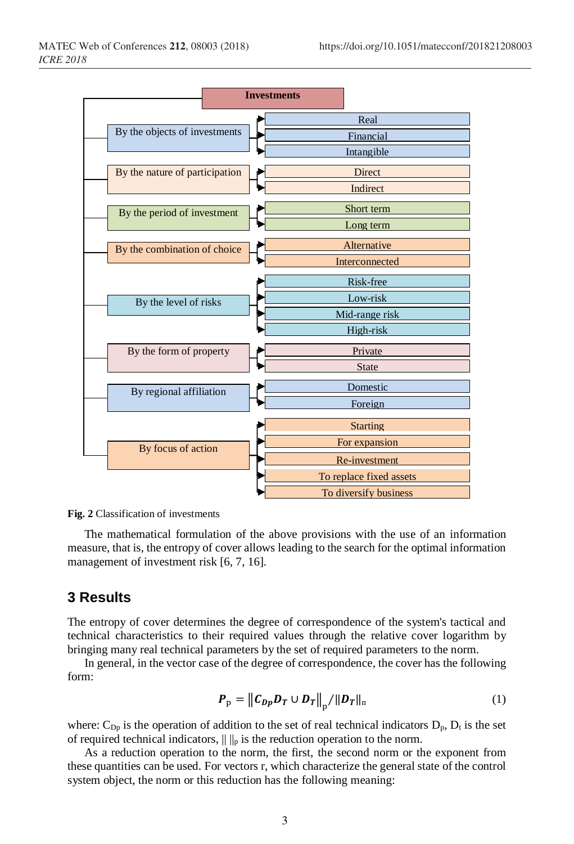

**Fig. 2** Classification of investments

The mathematical formulation of the above provisions with the use of an information measure, that is, the entropy of cover allows leading to the search for the optimal information management of investment risk [6, 7, 16].

### **3 Results**

The entropy of cover determines the degree of correspondence of the system's tactical and technical characteristics to their required values through the relative cover logarithm by bringing many real technical parameters by the set of required parameters to the norm.

In general, in the vector case of the degree of correspondence, the cover has the following form:

$$
P_{\rm p} = ||C_{Dp}D_T \cup D_T||_{\rm p} / ||D_T||_{\rm n}
$$
 (1)

where:  $C_{\text{Dp}}$  is the operation of addition to the set of real technical indicators  $D_{\text{p}}$ ,  $D_{\text{t}}$  is the set of required technical indicators,  $|| \cdot ||_p$  is the reduction operation to the norm.

As a reduction operation to the norm, the first, the second norm or the exponent from these quantities can be used. For vectors r, which characterize the general state of the control system object, the norm or this reduction has the following meaning: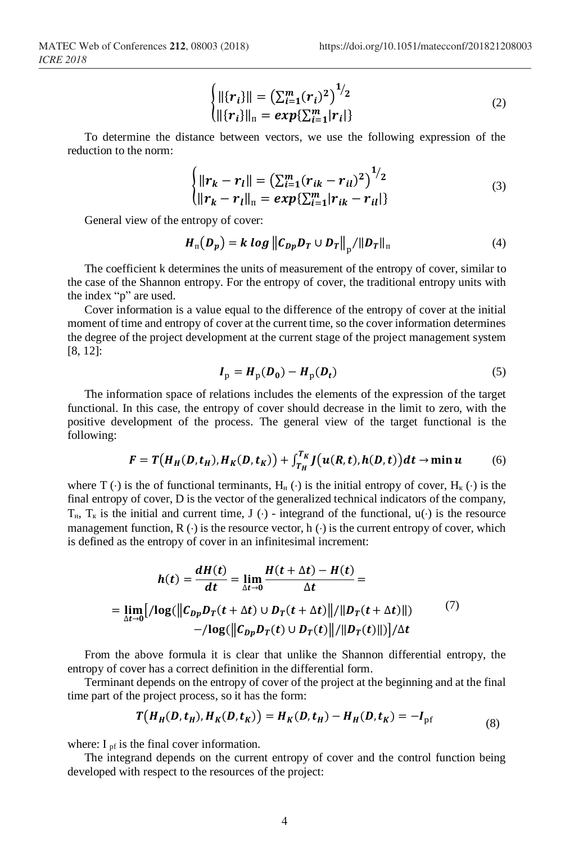$$
\begin{cases}\n||\{r_i\}\| = \left(\sum_{i=1}^m (r_i)^2\right)^{1/2} \\
||\{r_i\}\|_{\mathbf{r}} = \exp\{\sum_{i=1}^m |r_i|\}\n\end{cases}
$$
\n(2)

To determine the distance between vectors, we use the following expression of the reduction to the norm:

$$
\begin{cases}\n||r_k - r_l|| = \left(\sum_{i=1}^m (r_{ik} - r_{il})^2\right)^{1/2} \\
||r_k - r_l||_{\mathfrak{n}} = exp\{\sum_{i=1}^m |r_{ik} - r_{il}|\}\n\end{cases} \tag{3}
$$

General view of the entropy of cover:

$$
H_{\mathrm{n}}(D_{p}) = k \log \|C_{Dp}D_{T} \cup D_{T}\|_{p} / \|D_{T}\|_{\mathrm{n}}
$$
\n<sup>(4)</sup>

The coefficient k determines the units of measurement of the entropy of cover, similar to the case of the Shannon entropy. For the entropy of cover, the traditional entropy units with the index "p" are used.

Cover information is a value equal to the difference of the entropy of cover at the initial moment of time and entropy of cover at the current time, so the cover information determines the degree of the project development at the current stage of the project management system [8, 12]:

$$
I_{\mathrm{p}} = H_{\mathrm{p}}(D_{0}) - H_{\mathrm{p}}(D_{t})
$$
\n<sup>(5)</sup>

The information space of relations includes the elements of the expression of the target functional. In this case, the entropy of cover should decrease in the limit to zero, with the positive development of the process. The general view of the target functional is the following:

$$
F = T\big(H_H(D, t_H), H_K(D, t_K)\big) + \int_{T_H}^{T_K} J\big(u(R, t), h(D, t)\big)dt \to \min u \tag{6}
$$

where T ( $\cdot$ ) is the of functional terminants, H<sub>H</sub> ( $\cdot$ ) is the initial entropy of cover, H<sub>K</sub> ( $\cdot$ ) is the final entropy of cover, D is the vector of the generalized technical indicators of the company,  $T_{H}$ ,  $T_{K}$  is the initial and current time, J ( $\cdot$ ) - integrand of the functional, u( $\cdot$ ) is the resource management function,  $R(\cdot)$  is the resource vector, h  $(\cdot)$  is the current entropy of cover, which is defined as the entropy of cover in an infinitesimal increment:

$$
h(t) = \frac{dH(t)}{dt} = \lim_{\Delta t \to 0} \frac{H(t + \Delta t) - H(t)}{\Delta t} =
$$
  
= 
$$
\lim_{\Delta t \to 0} [ / \log (||C_{bp}D_T(t + \Delta t) \cup D_T(t + \Delta t) || / ||D_T(t + \Delta t) ||)
$$
  
- 
$$
/ \log (||C_{bp}D_T(t) \cup D_T(t) || / ||D_T(t) ||) ] / \Delta t
$$
 (7)

From the above formula it is clear that unlike the Shannon differential entropy, the entropy of cover has a correct definition in the differential form.

Terminant depends on the entropy of cover of the project at the beginning and at the final time part of the project process, so it has the form:

$$
T(H_H(D, t_H), H_K(D, t_K)) = H_K(D, t_H) - H_H(D, t_K) = -I_{\text{pf}}
$$
\n(8)

where:  $I_{pf}$  is the final cover information.

The integrand depends on the current entropy of cover and the control function being developed with respect to the resources of the project: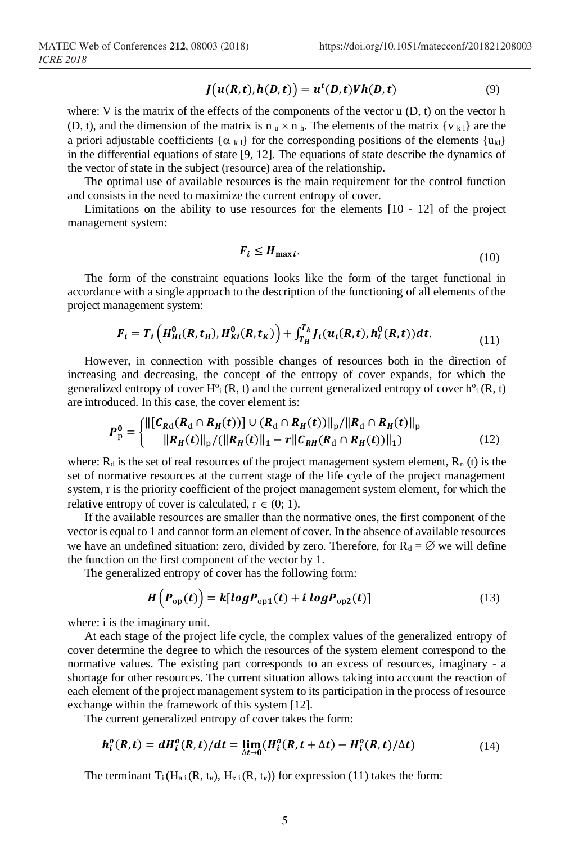$$
J(u(R,t),h(D,t)) = ut(D,t)Vh(D,t)
$$
\n(9)

where: V is the matrix of the effects of the components of the vector  $u(D, t)$  on the vector h (D, t), and the dimension of the matrix is  $n_u \times n_h$ . The elements of the matrix  $\{v_{k}\}\$ are the a priori adjustable coefficients  $\{\alpha_{k_l}\}$  for the corresponding positions of the elements  $\{u_{kl}\}$ in the differential equations of state [9, 12]. The equations of state describe the dynamics of the vector of state in the subject (resource) area of the relationship.

The optimal use of available resources is the main requirement for the control function and consists in the need to maximize the current entropy of cover.

Limitations on the ability to use resources for the elements  $[10 - 12]$  of the project management system:

≤

$$
\mathbf{F}_i \le \mathbf{H}_{\text{max }i}.\tag{10}
$$

The form of the constraint equations looks like the form of the target functional in accordance with a single approach to the description of the functioning of all elements of the project management system:

$$
F_i = T_i \left( H_{Hi}^0(R, t_H), H_{Ki}^0(R, t_K) \right) + \int_{T_H}^{T_k} J_i(u_i(R, t), h_i^0(R, t)) dt.
$$
 (11)

However, in connection with possible changes of resources both in the direction of increasing and decreasing, the concept of the entropy of cover expands, for which the generalized entropy of cover  $H^o$ <sub>i</sub> (R, t) and the current generalized entropy of cover  $h^o$ <sub>i</sub> (R, t) are introduced. In this case, the cover element is:

$$
P_{p}^{0} = \begin{cases} \|\left[C_{Rd}(R_{d} \cap R_{H}(t))\right] \cup (R_{d} \cap R_{H}(t))\|_{p}/\|R_{d} \cap R_{H}(t)\|_{p} \\ \|\left(R_{H}(t)\right\|_{p}/(\|R_{H}(t)\|_{1} - r\|C_{RH}(R_{d} \cap R_{H}(t))\|_{1}) \end{cases}
$$
(12)

where:  $R_d$  is the set of real resources of the project management system element,  $R_n$  (t) is the set of normative resources at the current stage of the life cycle of the project management system, r is the priority coefficient of the project management system element, for which the relative entropy of cover is calculated,  $r \in (0; 1)$ .

If the available resources are smaller than the normative ones, the first component of the vector is equal to 1 and cannot form an element of cover. In the absence of available resources we have an undefined situation: zero, divided by zero. Therefore, for  $R_d = \emptyset$  we will define the function on the first component of the vector by 1.

The generalized entropy of cover has the following form:

$$
H\left(P_{\text{op}}(t)\right) = k[log P_{\text{op1}}(t) + i log P_{\text{op2}}(t)] \tag{13}
$$

where: i is the imaginary unit.

At each stage of the project life cycle, the complex values of the generalized entropy of cover determine the degree to which the resources of the system element correspond to the normative values. The existing part corresponds to an excess of resources, imaginary - a shortage for other resources. The current situation allows taking into account the reaction of each element of the project management system to its participation in the process of resource exchange within the framework of this system [12].

The current generalized entropy of cover takes the form:

$$
h_i^o(R,t) = dH_i^o(R,t)/dt = \lim_{\Delta t \to 0} (H_i^o(R,t+\Delta t) - H_i^o(R,t)/\Delta t)
$$
 (14)

The terminant  $T_i(H_{H i}(R, t_H), H_{K i}(R, t_K))$  for expression (11) takes the form: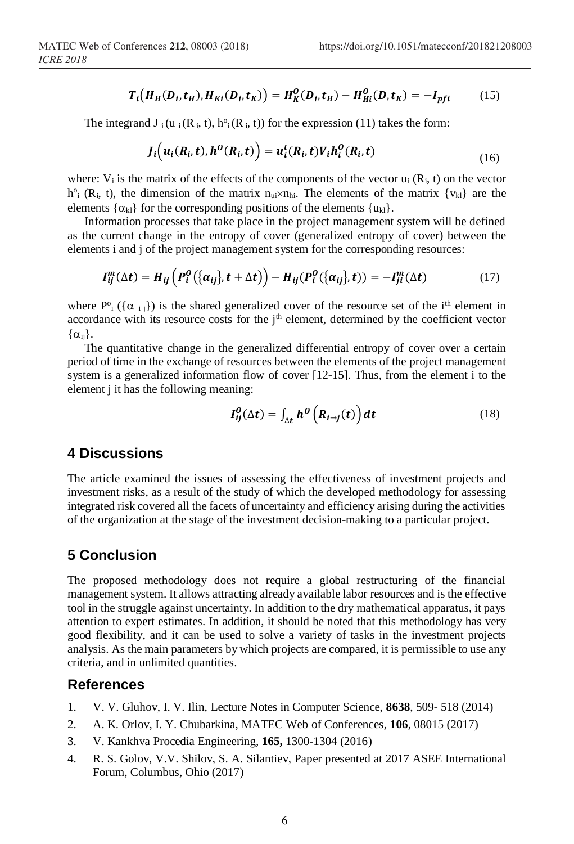$$
T_i\big(H_H(D_i, t_H), H_{Ki}(D_i, t_K)\big) = H_K^0(D_i, t_H) - H_{Hi}^0(D, t_K) = -I_{pfi}
$$
 (15)

The integrand  $J_i(u_i(R_i, t), h_i^o(R_i, t))$  for the expression (11) takes the form:

$$
J_i\Big(u_i(R_i,t),h^0(R_i,t)\Big) = u_i^t(R_i,t)V_i h_i^0(R_i,t)
$$
\n(16)

where:  $V_i$  is the matrix of the effects of the components of the vector  $u_i$  ( $R_i$ , t) on the vector  $h^o_i$  (R<sub>i</sub>, t), the dimension of the matrix  $n_{ui} \times n_{hi}$ . The elements of the matrix  $\{v_{kl}\}$  are the elements  $\{\alpha_{kl}\}\$ for the corresponding positions of the elements  $\{u_{kl}\}\$ .

Information processes that take place in the project management system will be defined as the current change in the entropy of cover (generalized entropy of cover) between the elements i and j of the project management system for the corresponding resources:

$$
I_{ij}^m(\Delta t) = H_{ij}\left(P_i^0(\{\alpha_{ij}\}, t + \Delta t)\right) - H_{ij}(P_i^0(\{\alpha_{ij}\}, t)) = -I_{ji}^m(\Delta t) \tag{17}
$$

where  $P^{\circ}$  ({ $\alpha$  i j}) is the shared generalized cover of the resource set of the i<sup>th</sup> element in accordance with its resource costs for the  $j<sup>th</sup>$  element, determined by the coefficient vector  $\{\alpha_{ii}\}.$ 

The quantitative change in the generalized differential entropy of cover over a certain period of time in the exchange of resources between the elements of the project management system is a generalized information flow of cover [12-15]. Thus, from the element i to the element j it has the following meaning:

$$
I_{ij}^{0}(\Delta t) = \int_{\Delta t} h^{0} \left( R_{i \to j}(t) \right) dt \qquad (18)
$$

# **4 Discussions**

The article examined the issues of assessing the effectiveness of investment projects and investment risks, as a result of the study of which the developed methodology for assessing integrated risk covered all the facets of uncertainty and efficiency arising during the activities of the organization at the stage of the investment decision-making to a particular project.

#### **5 Conclusion**

The proposed methodology does not require a global restructuring of the financial management system. It allows attracting already available labor resources and is the effective tool in the struggle against uncertainty. In addition to the dry mathematical apparatus, it pays attention to expert estimates. In addition, it should be noted that this methodology has very good flexibility, and it can be used to solve a variety of tasks in the investment projects analysis. As the main parameters by which projects are compared, it is permissible to use any criteria, and in unlimited quantities.

#### **References**

- 1. V. V. Gluhov, I. V. Ilin, Lecture Notes in Computer Science, **8638**, 509- 518 (2014)
- 2. A. K. Orlov, I. Y. Chubarkina, MATEC Web of Conferences, **106**, 08015 (2017)
- 3. V. Kankhva Procedia Engineering, **165,** 1300-1304 (2016)
- 4. R. S. Golov, V.V. Shilov, S. A. Silantiev, Paper presented at 2017 ASEE International Forum, Columbus, Ohio (2017)